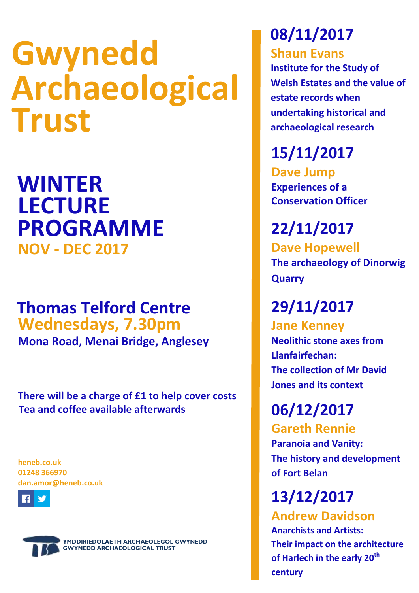# **Gwynedd Archaeological Trust**

**WINTER NOV - DEC 2017 LECTURE PROGRAMME**

### **Thomas Telford Centre Wednesdays, 7.30pm**

**Mona Road, Menai Bridge, Anglesey**

**Tea and coffee available afterwards There will be a charge of £1 to help cover costs**

**heneb.co.uk 01248 366970 dan.amor@heneb.co.uk**





**YMDDIRIEDOLAETH ARCHAEOLEGOL GWYNEDD GWYNEDD ARCHAEOLOGICAL TRUST**

## **08/11/2017**

**Shaun Evans**

**Institute for the Study of Welsh Estates and the value of estate records when undertaking historical and archaeological research**

**15/11/2017**

**Dave Jump Experiences of a Conservation Officer**

**22/11/2017 Dave Hopewell The archaeology of Dinorwig Quarry**

### **29/11/2017**

**Jane Kenney Neolithic stone axes from Llanfairfechan: The collection of Mr David Jones and its context**

**06/12/2017**

**Gareth Rennie Paranoia and Vanity: The history and development of Fort Belan**

**13/12/2017 Andrew Davidson Anarchists and Artists:**

**Their impact on the architecture of Harlech in the early 20th century**